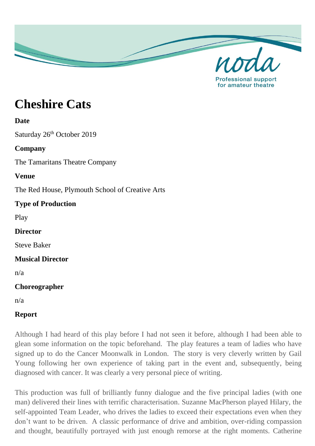

**Cheshire Cats**

#### **Date**

Saturday 26<sup>th</sup> October 2019

## **Company**

The Tamaritans Theatre Company

### **Venue**

The Red House, Plymouth School of Creative Arts

# **Type of Production**

Play

### **Director**

Steve Baker

### **Musical Director**

n/a

# **Choreographer**

n/a

# **Report**

Although I had heard of this play before I had not seen it before, although I had been able to glean some information on the topic beforehand. The play features a team of ladies who have signed up to do the Cancer Moonwalk in London. The story is very cleverly written by Gail Young following her own experience of taking part in the event and, subsequently, being diagnosed with cancer. It was clearly a very personal piece of writing.

This production was full of brilliantly funny dialogue and the five principal ladies (with one man) delivered their lines with terrific characterisation. Suzanne MacPherson played Hilary, the self-appointed Team Leader, who drives the ladies to exceed their expectations even when they don't want to be driven. A classic performance of drive and ambition, over-riding compassion and thought, beautifully portrayed with just enough remorse at the right moments. Catherine